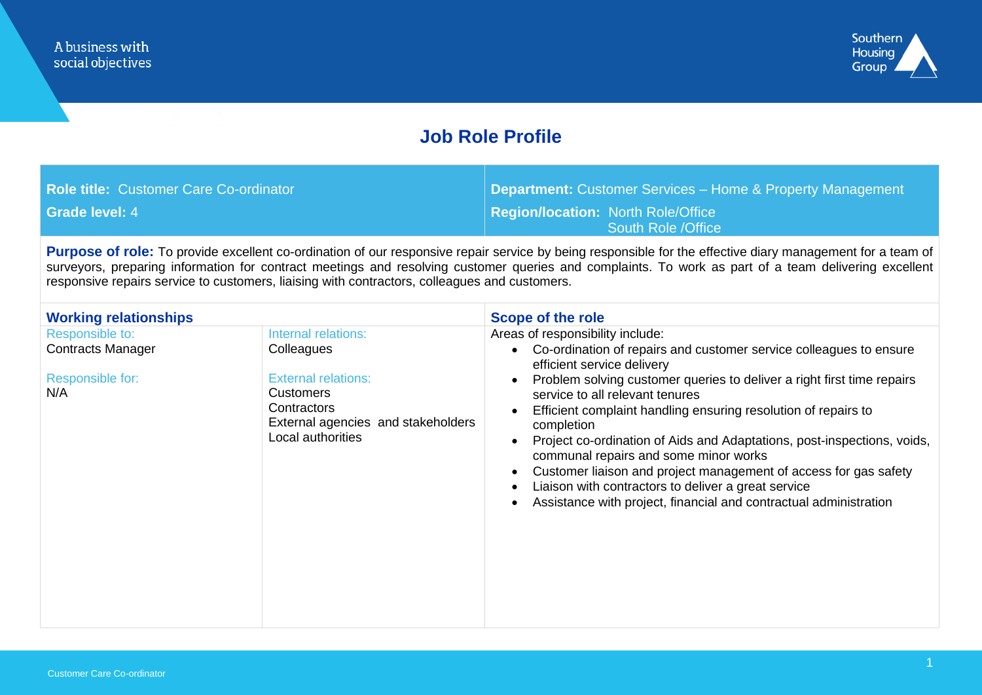

### **Job Role Profile**

| <b>Role title: Customer Care Co-ordinator</b> | <b>Department:</b> Customer Services – Home & Property Management |
|-----------------------------------------------|-------------------------------------------------------------------|
| <b>Grade level: 4</b>                         | <b>Region/location: North Role/Office</b><br>South Role / Office  |

Purpose of role: To provide excellent co-ordination of our responsive repair service by being responsible for the effective diary management for a team of surveyors, preparing information for contract meetings and resolving customer queries and complaints. To work as part of a team delivering excellent responsive repairs service to customers, liaising with contractors, colleagues and customers.

| <b>Working relationships</b>                                           |                                                                                                                                                               | <b>Scope of the role</b>                                                                                                                                                                                                                                                                                                                                                                                                                                                                                                                                                                                                                                                                                                                         |  |
|------------------------------------------------------------------------|---------------------------------------------------------------------------------------------------------------------------------------------------------------|--------------------------------------------------------------------------------------------------------------------------------------------------------------------------------------------------------------------------------------------------------------------------------------------------------------------------------------------------------------------------------------------------------------------------------------------------------------------------------------------------------------------------------------------------------------------------------------------------------------------------------------------------------------------------------------------------------------------------------------------------|--|
| Responsible to:<br><b>Contracts Manager</b><br>Responsible for:<br>N/A | Internal relations:<br>Colleagues<br><b>External relations:</b><br><b>Customers</b><br>Contractors<br>External agencies and stakeholders<br>Local authorities | Areas of responsibility include:<br>Co-ordination of repairs and customer service colleagues to ensure<br>$\bullet$<br>efficient service delivery<br>Problem solving customer queries to deliver a right first time repairs<br>$\bullet$<br>service to all relevant tenures<br>Efficient complaint handling ensuring resolution of repairs to<br>$\bullet$<br>completion<br>Project co-ordination of Aids and Adaptations, post-inspections, voids,<br>$\bullet$<br>communal repairs and some minor works<br>Customer liaison and project management of access for gas safety<br>$\bullet$<br>Liaison with contractors to deliver a great service<br>$\bullet$<br>Assistance with project, financial and contractual administration<br>$\bullet$ |  |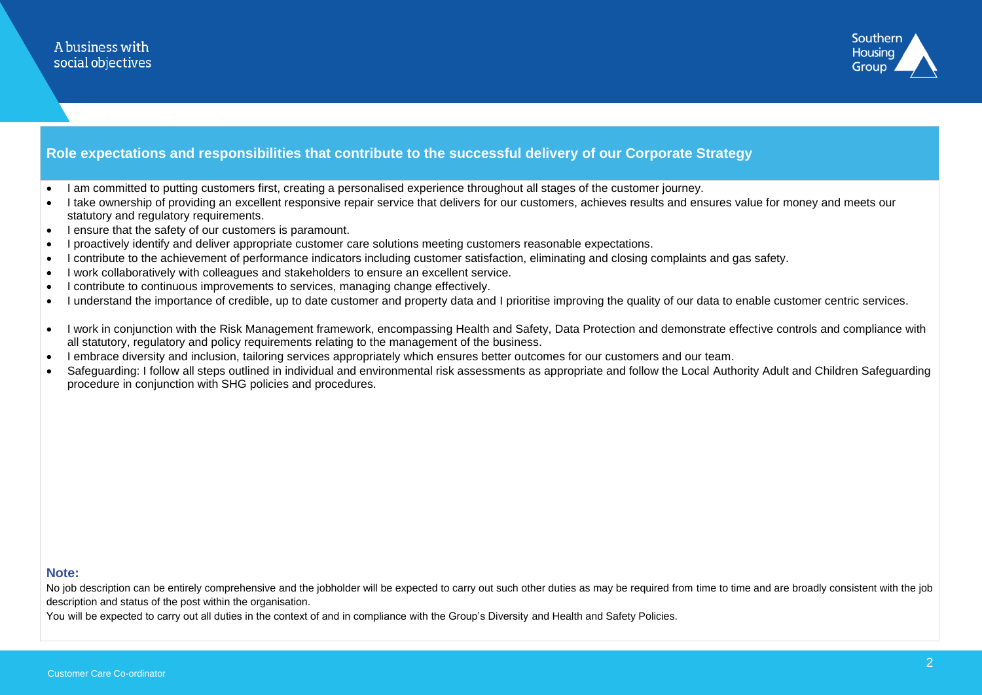

### **Role expectations and responsibilities that contribute to the successful delivery of our Corporate Strategy**

- I am committed to putting customers first, creating a personalised experience throughout all stages of the customer journey.
- I take ownership of providing an excellent responsive repair service that delivers for our customers, achieves results and ensures value for money and meets our statutory and regulatory requirements.
- I ensure that the safety of our customers is paramount.
- I proactively identify and deliver appropriate customer care solutions meeting customers reasonable expectations.
- I contribute to the achievement of performance indicators including customer satisfaction, eliminating and closing complaints and gas safety.
- I work collaboratively with colleagues and stakeholders to ensure an excellent service.
- I contribute to continuous improvements to services, managing change effectively.
- I understand the importance of credible, up to date customer and property data and I prioritise improving the quality of our data to enable customer centric services.
- I work in conjunction with the Risk Management framework, encompassing Health and Safety, Data Protection and demonstrate effective controls and compliance with all statutory, regulatory and policy requirements relating to the management of the business.
- I embrace diversity and inclusion, tailoring services appropriately which ensures better outcomes for our customers and our team.
- Safeguarding: I follow all steps outlined in individual and environmental risk assessments as appropriate and follow the Local Authority Adult and Children Safeguarding procedure in conjunction with SHG policies and procedures.

#### **Note:**

No job description can be entirely comprehensive and the jobholder will be expected to carry out such other duties as may be required from time to time and are broadly consistent with the job description and status of the post within the organisation.

You will be expected to carry out all duties in the context of and in compliance with the Group's Diversity and Health and Safety Policies.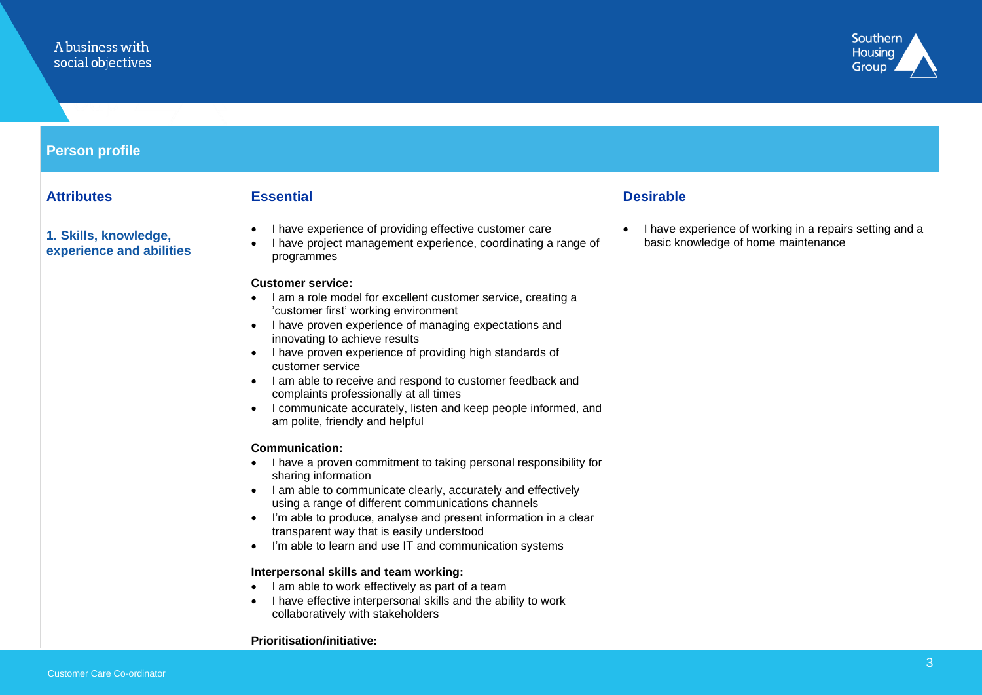# A business with<br>social objectives



| <b>Person profile</b>                             |                                                                                                                                                                                                                                                                                                                                                                                                                                                                                                                                                                                                                                                                                                                                                                                                                                                                                                                                                                                                                                                                                                                             |                                                                                                |  |
|---------------------------------------------------|-----------------------------------------------------------------------------------------------------------------------------------------------------------------------------------------------------------------------------------------------------------------------------------------------------------------------------------------------------------------------------------------------------------------------------------------------------------------------------------------------------------------------------------------------------------------------------------------------------------------------------------------------------------------------------------------------------------------------------------------------------------------------------------------------------------------------------------------------------------------------------------------------------------------------------------------------------------------------------------------------------------------------------------------------------------------------------------------------------------------------------|------------------------------------------------------------------------------------------------|--|
| <b>Attributes</b>                                 | <b>Essential</b>                                                                                                                                                                                                                                                                                                                                                                                                                                                                                                                                                                                                                                                                                                                                                                                                                                                                                                                                                                                                                                                                                                            | <b>Desirable</b>                                                                               |  |
| 1. Skills, knowledge,<br>experience and abilities | I have experience of providing effective customer care<br>I have project management experience, coordinating a range of<br>programmes<br><b>Customer service:</b><br>I am a role model for excellent customer service, creating a<br>'customer first' working environment<br>I have proven experience of managing expectations and<br>innovating to achieve results<br>I have proven experience of providing high standards of<br>customer service<br>• I am able to receive and respond to customer feedback and<br>complaints professionally at all times<br>I communicate accurately, listen and keep people informed, and<br>$\bullet$<br>am polite, friendly and helpful<br><b>Communication:</b><br>I have a proven commitment to taking personal responsibility for<br>$\bullet$<br>sharing information<br>I am able to communicate clearly, accurately and effectively<br>using a range of different communications channels<br>I'm able to produce, analyse and present information in a clear<br>$\bullet$<br>transparent way that is easily understood<br>I'm able to learn and use IT and communication systems | I have experience of working in a repairs setting and a<br>basic knowledge of home maintenance |  |
|                                                   | Interpersonal skills and team working:<br>I am able to work effectively as part of a team<br>I have effective interpersonal skills and the ability to work<br>collaboratively with stakeholders<br><b>Prioritisation/initiative:</b>                                                                                                                                                                                                                                                                                                                                                                                                                                                                                                                                                                                                                                                                                                                                                                                                                                                                                        |                                                                                                |  |